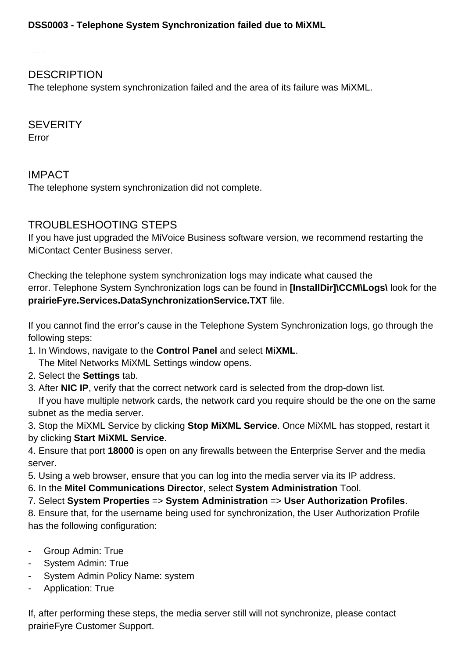**DESCRIPTION** 

The telephone system synchronization failed and the area of its failure was MiXML.

**SEVERITY** Error

IMPACT The telephone system synchronization did not complete.

## TROUBLESHOOTING STEPS

If you have just upgraded the MiVoice Business software version, we recommend restarting the MiContact Center Business server.

Checking the telephone system synchronization logs may indicate what caused the error. Telephone System Synchronization logs can be found in **[InstallDir]\CCM\Logs\** look for the **prairieFyre.Services.DataSynchronizationService.TXT** file.

If you cannot find the error's cause in the Telephone System Synchronization logs, go through the following steps:

1. In Windows, navigate to the **Control Panel** and select **MiXML**.

The Mitel Networks MiXML Settings window opens.

- 2. Select the **Settings** tab.
- 3. After **NIC IP**, verify that the correct network card is selected from the drop-down list.

 If you have multiple network cards, the network card you require should be the one on the same subnet as the media server.

3. Stop the MiXML Service by clicking **Stop MiXML Service**. Once MiXML has stopped, restart it by clicking **Start MiXML Service**.

4. Ensure that port **18000** is open on any firewalls between the Enterprise Server and the media server.

5. Using a web browser, ensure that you can log into the media server via its IP address.

6. In the **Mitel Communications Director**, select **System Administration** Tool.

7. Select **System Properties** => **System Administration** => **User Authorization Profiles**.

8. Ensure that, for the username being used for synchronization, the User Authorization Profile has the following configuration:

- Group Admin: True
- System Admin: True
- System Admin Policy Name: system
- Application: True

If, after performing these steps, the media server still will not synchronize, please contact prairieFyre Customer Support.